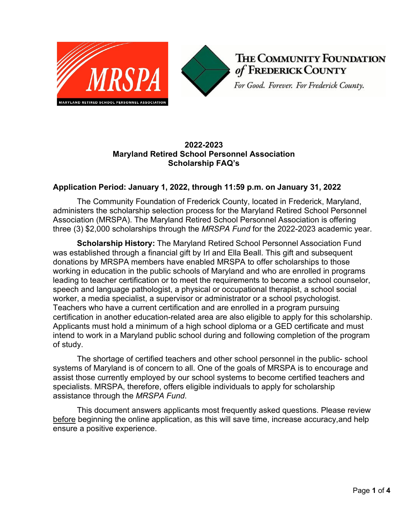



THE COMMUNITY FOUNDATION of FREDERICK COUNTY

For Good. Forever. For Frederick County.

## **2022-2023 Maryland Retired School Personnel Association Scholarship FAQ's**

### **Application Period: January 1, 2022, through 11:59 p.m. on January 31, 2022**

The Community Foundation of Frederick County, located in Frederick, Maryland, administers the scholarship selection process for the Maryland Retired School Personnel Association (MRSPA). The Maryland Retired School Personnel Association is offering three (3) \$2,000 scholarships through the *MRSPA Fund* for the 2022-2023 academic year.

**Scholarship History:** The Maryland Retired School Personnel Association Fund was established through a financial gift by Irl and Ella Beall. This gift and subsequent donations by MRSPA members have enabled MRSPA to offer scholarships to those working in education in the public schools of Maryland and who are enrolled in programs leading to teacher certification or to meet the requirements to become a school counselor, speech and language pathologist, a physical or occupational therapist, a school social worker, a media specialist, a supervisor or administrator or a school psychologist. Teachers who have a current certification and are enrolled in a program pursuing certification in another education-related area are also eligible to apply for this scholarship. Applicants must hold a minimum of a high school diploma or a GED certificate and must intend to work in a Maryland public school during and following completion of the program of study.

The shortage of certified teachers and other school personnel in the public- school systems of Maryland is of concern to all. One of the goals of MRSPA is to encourage and assist those currently employed by our school systems to become certified teachers and specialists. MRSPA, therefore, offers eligible individuals to apply for scholarship assistance through the *MRSPA Fund*.

This document answers applicants most frequently asked questions. Please review before beginning the online application, as this will save time, increase accuracy,and help ensure a positive experience.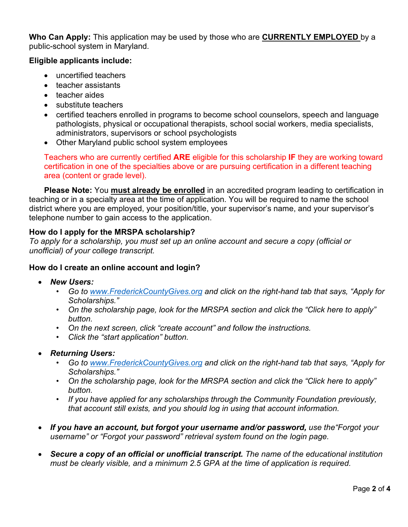**Who Can Apply:** This application may be used by those who are **CURRENTLY EMPLOYED** by a public-school system in Maryland.

## **Eligible applicants include:**

- uncertified teachers
- teacher assistants
- teacher aides
- substitute teachers
- certified teachers enrolled in programs to become school counselors, speech and language pathologists, physical or occupational therapists, school social workers, media specialists, administrators, supervisors or school psychologists
- Other Maryland public school system employees

Teachers who are currently certified **ARE** eligible for this scholarship **IF** they are working toward certification in one of the specialties above or are pursuing certification in a different teaching area (content or grade level).

**Please Note:** You **must already be enrolled** in an accredited program leading to certification in teaching or in a specialty area at the time of application. You will be required to name the school district where you are employed, your position/title, your supervisor's name, and your supervisor's telephone number to gain access to the application.

# **How do I apply for the MRSPA scholarship?**

*To apply for a scholarship, you must set up an online account and secure a copy (official or unofficial) of your college transcript.*

## **How do I create an online account and login?**

- *New Users:*
	- *Go to [www.FrederickCountyGives.org](http://www.frederickcountygives.org/) and click on the right-hand tab that says, "Apply for Scholarships."*
	- *On the scholarship page, look for the MRSPA section and click the "Click here to apply" button.*
	- *On the next screen, click "create account" and follow the instructions.*
	- *Click the "start application" button.*
- *Returning Users:*
	- *Go to [www.FrederickCountyGives.org](http://www.frederickcountygives.org/) and click on the right-hand tab that says, "Apply for Scholarships."*
	- *On the scholarship page, look for the MRSPA section and click the "Click here to apply" button.*
	- *If you have applied for any scholarships through the Community Foundation previously, that account still exists, and you should log in using that account information.*
- If you have an account, but forgot your username and/or password, use the "Forgot your *username" or "Forgot your password" retrieval system found on the login page.*
- *Secure a copy of an official or unofficial transcript. The name of the educational institution must be clearly visible, and a minimum 2.5 GPA at the time of application is required.*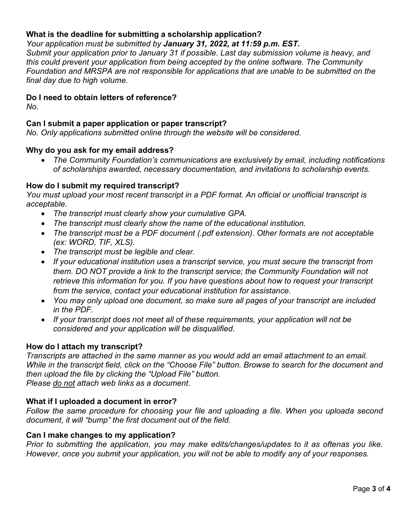## **What is the deadline for submitting a scholarship application?**

### *Your application must be submitted by January 31, 2022, at 11:59 p.m. EST.*

*Submit your application prior to January 31 if possible. Last day submission volume is heavy, and this could prevent your application from being accepted by the online software. The Community Foundation and MRSPA are not responsible for applications that are unable to be submitted on the final day due to high volume.*

### **Do I need to obtain letters of reference?**

*No.*

# **Can I submit a paper application or paper transcript?**

*No. Only applications submitted online through the website will be considered.*

### **Why do you ask for my email address?**

• *The Community Foundation's communications are exclusively by email, including notifications of scholarships awarded, necessary documentation, and invitations to scholarship events.*

### **How do I submit my required transcript?**

*You must upload your most recent transcript in a PDF format. An official or unofficial transcript is acceptable.*

- *The transcript must clearly show your cumulative GPA.*
- *The transcript must clearly show the name of the educational institution.*
- *The transcript must be a PDF document (.pdf extension). Other formats are not acceptable (ex: WORD, TIF, XLS).*
- *The transcript must be legible and clear*.
- If your educational institution uses a transcript service, you must secure the transcript from *them. DO NOT provide a link to the transcript service; the Community Foundation will not retrieve this information for you. If you have questions about how to request your transcript from the service, contact your educational institution for assistance.*
- *You may only upload one document, so make sure all pages of your transcript are included in the PDF.*
- *If your transcript does not meet all of these requirements, your application will not be considered and your application will be disqualified.*

## **How do I attach my transcript?**

*Transcripts are attached in the same manner as you would add an email attachment to an email. While in the transcript field, click on the "Choose File" button. Browse to search for the document and then upload the file by clicking the "Upload File" button. Please do not attach web links as a document*.

#### **What if I uploaded a document in error?**

*Follow the same procedure for choosing your file and uploading a file. When you uploada second document, it will "bump" the first document out of the field.*

#### **Can I make changes to my application?**

*Prior to submitting the application, you may make edits/changes/updates to it as oftenas you like. However, once you submit your application, you will not be able to modify any of your responses.*